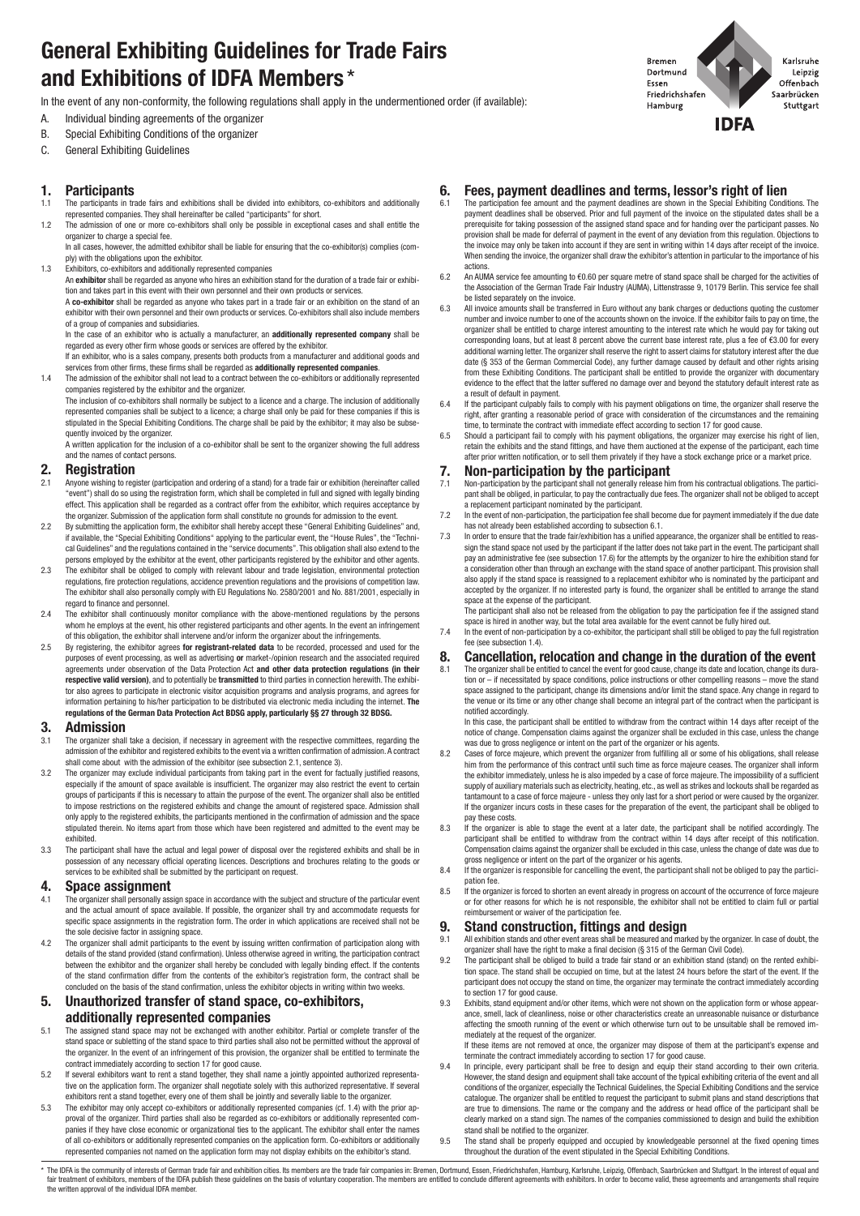# **General Exhibiting Guidelines for Trade Fairs and Exhibitions of IDFA Members** \*

In the event of any non-conformity, the following regulations shall apply in the undermentioned order (if available):

- A. Individual binding agreements of the organizer
- B. Special Exhibiting Conditions of the organizer
- C. General Exhibiting Guidelines

### **1. Participants**

- 1.1 The participants in trade fairs and exhibitions shall be divided into exhibitors, co-exhibitors and additionally represented companies. They shall hereinafter be called "participants" for short.
- 1.2 The admission of one or more co-exhibitors shall only be possible in exceptional cases and shall entitle the organizer to charge a special fee.
- In all cases, however, the admitted exhibitor shall be liable for ensuring that the co-exhibitor(s) complies (comply) with the obligations upon the exhibitor.
- 1.3 Exhibitors, co-exhibitors and additionally represented companies

An **exhibitor** shall be regarded as anyone who hires an exhibition stand for the duration of a trade fair or exhibition and takes part in this event with their own personnel and their own products or services.

A **co-exhibitor** shall be regarded as anyone who takes part in a trade fair or an exhibition on the stand of an exhibitor with their own personnel and their own products or services. Co-exhibitors shall also include members of a group of companies and subsidiaries.

In the case of an exhibitor who is actually a manufacturer, an **additionally represented company** shall be regarded as every other firm whose goods or services are offered by the exhibitor.

If an exhibitor, who is a sales company, presents both products from a manufacturer and additional goods and services from other firms, these firms shall be regarded as **additionally represented companies**.

1.4 The admission of the exhibitor shall not lead to a contract between the co-exhibitors or additionally represented companies registered by the exhibitor and the organizer.

The inclusion of co-exhibitors shall normally be subject to a licence and a charge. The inclusion of additionally represented companies shall be subject to a licence; a charge shall only be paid for these companies if this is stipulated in the Special Exhibiting Conditions. The charge shall be paid by the exhibitor; it may also be subsequently invoiced by the organizer.

A written application for the inclusion of a co-exhibitor shall be sent to the organizer showing the full address and the names of contact persons.

## **2. Registration**<br><sup>2.1</sup> Anyone wishing to regi

- 2.1 Anyone wishing to register (participation and ordering of a stand) for a trade fair or exhibition (hereinafter called "event") shall do so using the registration form, which shall be completed in full and signed with legally binding effect. This application shall be regarded as a contract offer from the exhibitor, which requires acceptance by the organizer. Submission of the application form shall constitute no grounds for admission to the event.
- 2.2 By submitting the application form, the exhibitor shall hereby accept these "General Exhibiting Guidelines" and, if available, the "Special Exhibiting Conditions" applying to the particular event, the "House Rules", the "Technical Guidelines" and the regulations contained in the "service documents". This obligation shall also extend to the persons employed by the exhibitor at the event, other participants registered by the exhibitor and other agents.
- 2.3 The exhibitor shall be obliged to comply with relevant labour and trade legislation, environmental protection regulations, fire protection regulations, accidence prevention regulations and the provisions of competition law. The exhibitor shall also personally comply with EU Regulations No. 2580/2001 and No. 881/2001, especially in regard to finance and personnel.
- 2.4 The exhibitor shall continuously monitor compliance with the above-mentioned regulations by the persons whom he employs at the event, his other registered participants and other agents. In the event an infringement of this obligation, the exhibitor shall intervene and/or inform the organizer about the infringements.
- 2.5 By registering, the exhibitor agrees **for registrant-related data** to be recorded, processed and used for the purposes of event processing, as well as advertising **or** market-/opinion research and the associated required agreements under observation of the Data Protection Act **and other data protection regulations (in their respective valid version)**, and to potentially be **transmitted** to third parties in connection herewith. The exhibitor also agrees to participate in electronic visitor acquisition programs and analysis programs, and agrees for information pertaining to his/her participation to be distributed via electronic media including the internet. **The regulations of the German Data Protection Act BDSG apply, particularly §§ 27 through 32 BDSG.**

### **3. Admission**

- The organizer shall take a decision, if necessary in agreement with the respective committees, regarding the admission of the exhibitor and registered exhibits to the event via a written confirmation of admission. A contract shall come about with the admission of the exhibitor (see subsection 2.1, sentence 3).
- 3.2 The organizer may exclude individual participants from taking part in the event for factually justified reasons, especially if the amount of space available is insufficient. The organizer may also restrict the event to certain groups of participants if this is necessary to attain the purpose of the event. The organizer shall also be entitled to impose restrictions on the registered exhibits and change the amount of registered space. Admission shall only apply to the registered exhibits, the participants mentioned in the confirmation of admission and the space stipulated therein. No items apart from those which have been registered and admitted to the event may be exhibited.
- 3.3 The participant shall have the actual and legal power of disposal over the registered exhibits and shall be in possession of any necessary official operating licences. Descriptions and brochures relating to the goods or services to be exhibited shall be submitted by the participant on request.

### **4. Space assignment**

- The organizer shall personally assign space in accordance with the subject and structure of the particular event and the actual amount of space available. If possible, the organizer shall try and accommodate requests for specific space assignments in the registration form. The order in which applications are received shall not be the sole decisive factor in assigning space.
- 4.2 The organizer shall admit participants to the event by issuing written confirmation of participation along with details of the stand provided (stand confirmation). Unless otherwise agreed in writing, the participation contract<br>between the exhibitor and the organizer shall hereby be concluded with legally binding effect. If the conte of the stand confirmation differ from the contents of the exhibitor's registration form, the contract shall be concluded on the basis of the stand confirmation, unless the exhibitor objects in writing within two weeks.

### **5. Unauthorized transfer of stand space, co-exhibitors, additionally represented companies**

- 5.1 The assigned stand space may not be exchanged with another exhibitor. Partial or complete transfer of the stand space or subletting of the stand space to third parties shall also not be permitted without the approval of the organizer. In the event of an infringement of this provision, the organizer shall be entitled to terminate the contract immediately according to section 17 for good cause.
- 5.2 If several exhibitors want to rent a stand together, they shall name a jointly appointed authorized representative on the application form. The organizer shall negotiate solely with this authorized representative. If several exhibitors rent a stand together, every one of them shall be jointly and severally liable to the organizer.
- 5.3 The exhibitor may only accept co-exhibitors or additionally represented companies (cf. 1.4) with the prior approval of the organizer. Third parties shall also be regarded as co-exhibitors or additionally represented companies if they have close economic or organizational ties to the applicant. The exhibitor shall enter the names of all co-exhibitors or additionally represented companies on the application form. Co-exhibitors or additionally represented companies not named on the application form may not display exhibits on the exhibitor's stand.

### **6. Fees, payment deadlines and terms, lessor's right of lien**

- The participation fee amount and the payment deadlines are shown in the Special Exhibiting Conditions. The payment deadlines shall be observed. Prior and full payment of the invoice on the stipulated dates shall be a prerequisite for taking possession of the assigned stand space and for handing over the participant passes. No provision shall be made for deferral of payment in the event of any deviation from this regulation. Objections to the invoice may only be taken into account if they are sent in writing within 14 days after receipt of the invoice. When sending the invoice, the organizer shall draw the exhibitor's attention in particular to the importance of his actions.
- 6.2 An AUMA service fee amounting to €0.60 per square metre of stand space shall be charged for the activities of the Association of the German Trade Fair Industry (AUMA), Littenstrasse 9, 10179 Berlin. This service fee shall be listed separately on the invoice.
- 6.3 All invoice amounts shall be transferred in Euro without any bank charges or deductions quoting the customer number and invoice number to one of the accounts shown on the invoice. If the exhibitor fails to pay on time, the organizer shall be entitled to charge interest amounting to the interest rate which he would pay for taking out corresponding loans, but at least 8 percent above the current base interest rate, plus a fee of €3.00 for every additional warning letter. The organizer shall reserve the right to assert claims for statutory interest after the due<br>date (§ 353 of the German Commercial Code), any further damage caused by default and other rights arisi from these Exhibiting Conditions. The participant shall be entitled to provide the organizer with documentary evidence to the effect that the latter suffered no damage over and beyond the statutory default interest rate as a result of default in payment.
- 6.4 If the participant culpably fails to comply with his payment obligations on time, the organizer shall reserve the right, after granting a reasonable period of grace with consideration of the circumstances and the remaining time, to terminate the contract with immediate effect according to section 17 for good cause.
- 6.5 Should a participant fail to comply with his payment obligations, the organizer may exercise his right of lien, retain the exhibits and the stand fittings, and have them auctioned at the expense of the participant, each time after prior written notification, or to sell them privately if they have a stock exchange price or a market price.

## **7. Non-participation by the participant**  $7.1$  **Non-participation** by the participant shall not generally release him

- Non-participation by the participant shall not generally release him from his contractual obligations. The participant shall be obliged, in particular, to pay the contractually due fees. The organizer shall not be obliged to accept a replacement participant nominated by the participant. 7.2 In the event of non-participation, the participation fee shall become due for payment immediately if the due date
- has not already been established according to subsection 6.1.
- -7.3 In order to ensure that the trade fair/exhibition has a unified appearance, the organizer shall be entitled to reas-<br>sign the stand space not used by the participant if the latter does not take part in the event. The pay an administrative fee (see subsection 17.6) for the attempts by the organizer to hire the exhibition stand for a consideration other than through an exchange with the stand space of another participant. This provision shall also apply if the stand space is reassigned to a replacement exhibitor who is nominated by the participant and accepted by the organizer. If no interested party is found, the organizer shall be entitled to arrange the stand space at the expense of the participant.

The participant shall also not be released from the obligation to pay the participation fee if the assigned stand space is hired in another way, but the total area available for the event cannot be fully hired out.

7.4 In the event of non-participation by a co-exhibitor, the participant shall still be obliged to pay the full registration fee (see subsection 1.4).

## **8. Cancellation, relocation and change in the duration of the event**<br>**8.1** The organizer shall be entitled to cancel the event for good cause, change its date and location, change its dura-

8.1 The organizer shall be entitled to cancel the event for good cause, change its date and location, change its duration or – if necessitated by space conditions, police instructions or other compelling reasons – move the stand space assigned to the participant, change its dimensions and/or limit the stand space. Any change in regard to the venue or its time or any other change shall become an integral part of the contract when the participant is notified accordingly.

In this case, the participant shall be entitled to withdraw from the contract within 14 days after receipt of the notice of change. Compensation claims against the organizer shall be excluded in this case, unless the change was due to gross negligence or intent on the part of the organizer or his agents.

- 8.2 Cases of force majeure, which prevent the organizer from fulfilling all or some of his obligations, shall release him from the performance of this contract until such time as force majeure ceases. The organizer shall inform the exhibitor immediately, unless he is also impeded by a case of force majeure. The impossibility of a sufficient supply of auxiliary materials such as electricity, heating, etc., as well as strikes and lockouts shall be regarded as tantamount to a case of force majeure - unless they only last for a short period or were caused by the organizer. If the organizer incurs costs in these cases for the preparation of the event, the participant shall be obliged to pay these costs.
- 8.3 If the organizer is able to stage the event at a later date, the participant shall be notified accordingly. The participant shall be entitled to withdraw from the contract within 14 days after receipt of this notification. Compensation claims against the organizer shall be excluded in this case, unless the change of date was due to gross negligence or intent on the part of the organizer or his agents.
- 8.4 If the organizer is responsible for cancelling the event, the participant shall not be obliged to pay the partici-
- pation fee. 8.5 If the organizer is forced to shorten an event already in progress on account of the occurrence of force majeure or for other reasons for which he is not responsible, the exhibitor shall not be entitled to claim full or partial reimbursement or waiver of the participation fee.

## **9. Stand construction, fittings and design**<br>9.1 All exhibition stands and other event areas shall be measured and mark

- 9.1 All exhibition stands and other event areas shall be measured and marked by the organizer. In case of doubt, the organizer shall have the right to make a final decision (§ 315 of the German Civil Code).
- The participant shall be obliged to build a trade fair stand or an exhibition stand (stand) on the rented exhibition space. The stand shall be occupied on time, but at the latest 24 hours before the start of the event. If the participant does not occupy the stand on time, the organizer may terminate the contract immediately according to section 17 for good cause.
- 9.3 Exhibits, stand equipment and/or other items, which were not shown on the application form or whose appearance, smell, lack of cleanliness, noise or other characteristics create an unreasonable nuisance or disturbance affecting the smooth running of the event or which otherwise turn out to be unsuitable shall be removed immediately at the request of the organizer. If these items are not removed at once, the organizer may dispose of them at the participant's expense and

terminate the contract immediately according to section 17 for good cause. 9.4 In principle, every participant shall be free to design and equip their stand according to their own criteria.

- However, the stand design and equipment shall take account of the typical exhibiting criteria of the event and all conditions of the organizer, especially the Technical Guidelines, the Special Exhibiting Conditions and the service catalogue. The organizer shall be entitled to request the participant to submit plans and stand descriptions that are true to dimensions. The name or the company and the address or head office of the participant shall be clearly marked on a stand sign. The names of the companies commissioned to design and build the exhibition stand shall be notified to the organizer.
- 9.5 The stand shall be properly equipped and occupied by knowledgeable personnel at the fixed opening times throughout the duration of the event stipulated in the Special Exhibiting Conditions.